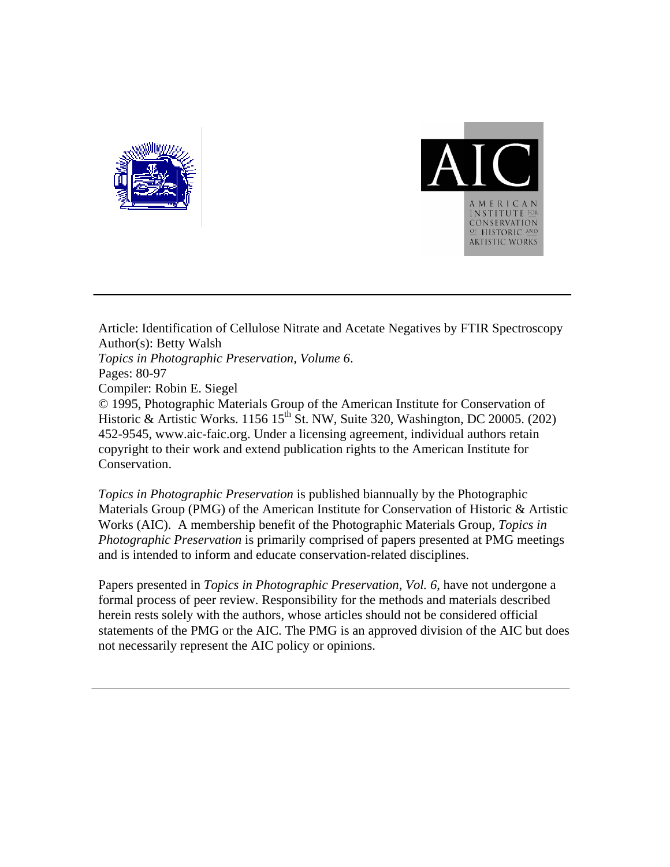



Article: Identification of Cellulose Nitrate and Acetate Negatives by FTIR Spectroscopy Author(s): Betty Walsh *Topics in Photographic Preservation, Volume 6*. Pages: 80-97 Compiler: Robin E. Siegel © 1995, Photographic Materials Group of the American Institute for Conservation of Historic & Artistic Works. 1156 15<sup>th</sup> St. NW, Suite 320, Washington, DC 20005. (202) 452-9545, www.aic-faic.org. Under a licensing agreement, individual authors retain copyright to their work and extend publication rights to the American Institute for Conservation.

*Topics in Photographic Preservation* is published biannually by the Photographic Materials Group (PMG) of the American Institute for Conservation of Historic & Artistic Works (AIC). A membership benefit of the Photographic Materials Group, *Topics in Photographic Preservation* is primarily comprised of papers presented at PMG meetings and is intended to inform and educate conservation-related disciplines.

Papers presented in *Topics in Photographic Preservation, Vol. 6*, have not undergone a formal process of peer review. Responsibility for the methods and materials described herein rests solely with the authors, whose articles should not be considered official statements of the PMG or the AIC. The PMG is an approved division of the AIC but does not necessarily represent the AIC policy or opinions.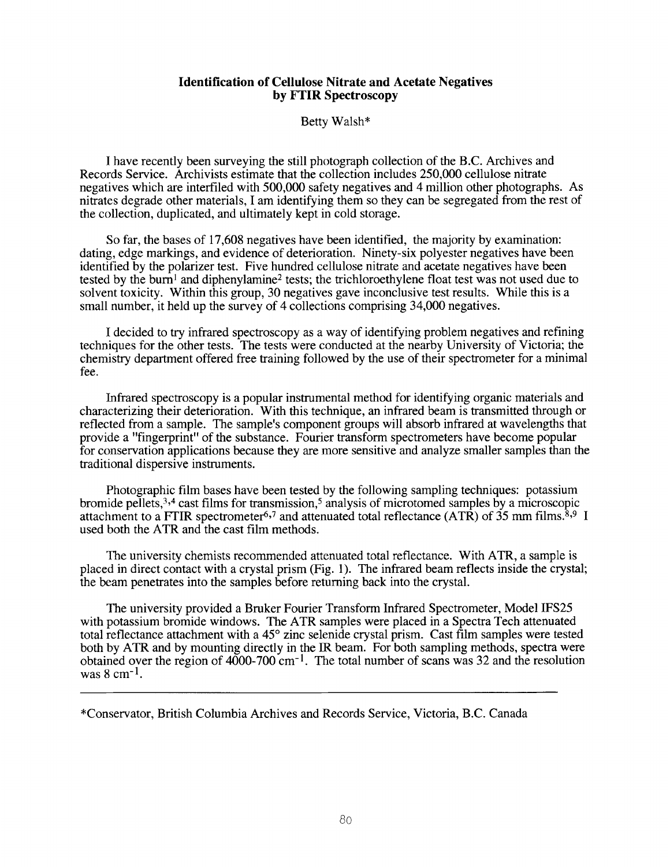## **Identification of Cellulose Nitrate and Acetate Negatives by FTIR Spectroscopy**

Betty Walsh\*

**I** have recently been surveying the still photograph collection of the B.C. Archives and Records Service. Archivists estimate that the collection includes 250,000 cellulose nitrate negatives which are interfiled with 500,000 safety negatives and 4 million other photographs. As nitrates degrade other materials, I am identifying them so they can be segregated from the rest of the collection, duplicated, and ultimately kept in cold storage.

**So** far, the bases of 17,608 negatives have been identified, the majority by examination: dating, edge markings, and evidence of deterioration. Ninety-six polyester negatives have been identified by the polarizer test. Five hundred cellulose nitrate and acetate negatives have been tested by the burn<sup>1</sup> and diphenylamine<sup>2</sup> tests; the trichloroethylene float test was not used due to solvent toxicity. Within this group, 30 negatives gave inconclusive test results. While this is a small number, it held up the survey of **4** collections comprising 34,000 negatives.

I decided to **try** infrared spectroscopy as a way of identifying problem negatives and refining techniques for the other tests. The tests were conducted at the nearby University of Victoria; the chemistry department offered free training followed by the use of their spectrometer for a minimal fee.

Infrared spectroscopy is a popular instrumental method for identifying organic materials and characterizing their deterioration. With this technique, an infrared beam is transmitted through or reflected from a sample. The samplels component groups will absorb infrared at wavelengths that provide a "fingerprint" of the substance. Fourier transform spectrometers have become popular for conservation applications because they are more sensitive and analyze smaller samples than the traditional dispersive instruments.

Photographic film bases have been tested by the following sampling techniques: potassium bromide pellets,  $3,4$  cast films for transmission,<sup>5</sup> analysis of microtomed samples by a microscopic attachment to a FTIR spectrometer<sup>6,7</sup> and attenuated total reflectance (ATR) of 35 mm films.<sup>8,9</sup> I used both the ATR and the cast film methods.

The university chemists recommended attenuated total reflectance. With ATR, a sample is placed in direct contact with a crystal prism (Fig. 1). The infrared beam reflects inside the crystal; the beam penetrates into the samples before returning back into the crystal.

The university provided a Bruker Fourier Transform Infrared Spectrometer, Model IFS25 with potassium bromide windows. The ATR samples were placed in a Spectra Tech attenuated total reflectance attachment with a 45° zinc selenide crystal prism. Cast film samples were tested both by **ATR** and by mounting directly in the *JR* beam. For both sampling methods, spectra were obtained over the region of  $4000-700$  cm<sup>-1</sup>. The total number of scans was 32 and the resolution was **8** cm-1.

\*Conservator, British Columbia Archives and Records Service, Victoria, B.C. Canada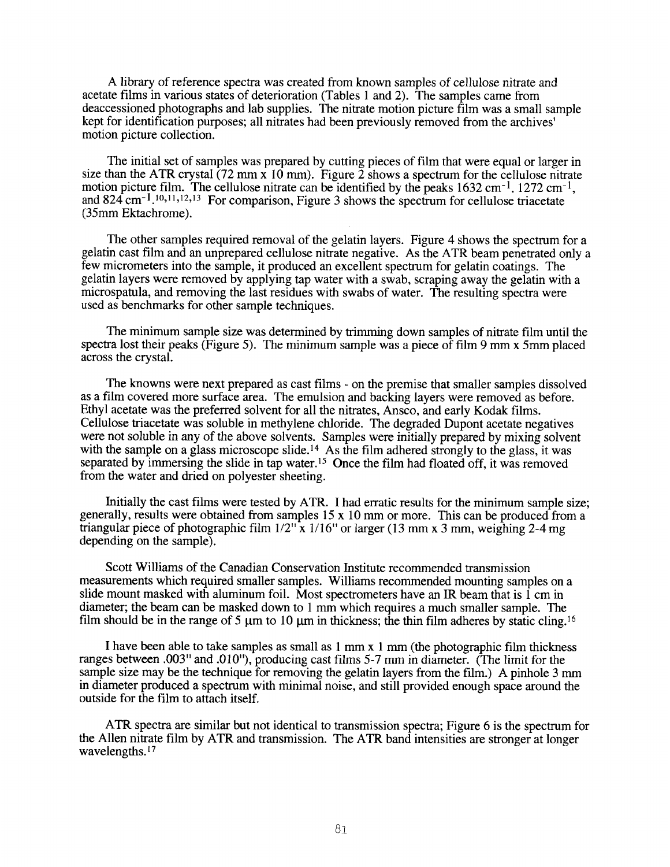A library of reference spectra was created from known samples of cellulose nitrate and acetate films in various states of deterioration (Tables 1 and 2). The samples came from deaccessioned photographs and lab supplies. The nitrate motion picture film was a small sample kept for identification purposes; all nitrates had been previously removed from the archives' motion picture collection.

The initial set of samples was prepared by cutting pieces of film that were equal or larger in size than the ATR crystal (72 mm x 10 mm). Figure  $\overline{2}$  shows a spectrum for the cellulose nitrate motion picture film. The cellulose nitrate can be identified by the peaks  $1632 \text{ cm}^{-1}$ ,  $1272 \text{ cm}^{-1}$ , and 824 cm<sup>-1</sup>,<sup>10,11,12,13</sup> For comparison, Figure 3 shows the spectrum for cellulose triacetate (35mm Ektachrome).

The other samples required removal of the gelatin layers. Figure 4 shows the spectrum for a gelatin cast film and an unprepared cellulose nitrate negative. As the ATR beam penetrated only **a**  few micrometers into the sample, it produced an excellent spectrum for gelatin coatings. The gelatin layers were removed by applying tap water with a swab, scraping away the gelatin with a microspatula, and removing the last residues with swabs of water. The resulting spectra were used as benchmarks for other sample techniques.

The minimum sample size was determined by trimming down samples of nitrate film until the spectra lost their peaks (Figure 5). The minimum sample was a piece of film 9 mm x 5mm placed across the crystal.

The knowns were next prepared as cast films - on the premise that smaller samples dissolved as a film covered more surface area. The emulsion and backing layers were removed as before. Ethyl acetate was the preferred solvent for all the nitrates, Ansco, and early Kodak films. Cellulose triacetate was soluble in methylene chloride. The degraded Dupont acetate negatives were not soluble in any of the above solvents. Samples were initially prepared by mixing solvent with the sample on a glass microscope slide.<sup>14</sup> As the film adhered strongly to the glass, it was separated by immersing the slide in tap water.15 Once the film had floated off, it was removed from the water and dried on polyester sheeting.

Initially the cast films were tested by ATR. I had erratic results for the minimum sample size; generally, results were obtained from samples 15 x 10 mm or more. This can be produced from a triangular piece of photographic film  $1/2$ <sup>"</sup> x  $1/16$ " or larger (13 mm x 3 mm, weighing 2-4 mg depending on the sample).

Scott Williams of the Canadian Conservation Institute recommended transmission measurements which required smaller samples. Williams recommended mounting samples on a slide mount masked with aluminum foil. Most spectrometers have an IR beam that is 1 cm in diameter; the beam can be masked down to 1 mm which requires a much smaller sample. The film should be in the range of 5  $\mu$ m to 10  $\mu$ m in thickness; the thin film adheres by static cling.<sup>16</sup>

I have been able to take samples as small as **1** mm **x 1** mm (the photographic film thickness ranges between .003" and .010"), producing cast films 5-7 mm in diameter. (The limit for the sample size may be the technique for removing the gelatin layers from the film.) A pinhole 3 mm in diameter produced a spectrum with minimal noise, and still provided enough space around the outside for the film to attach itself.

**ATR** spectra are similar but not identical to transmission spectra; Figure 6 is the spectrum for the Allen nitrate film by ATR and transmission. The **ATR** band intensities are stronger at longer wavelengths.<sup>17</sup>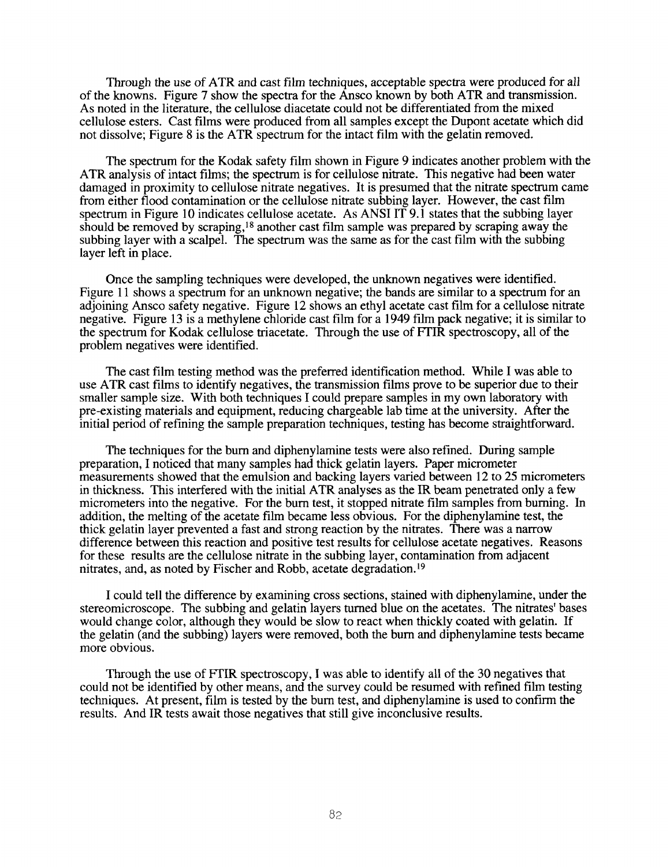Through the use of ATR and cast film techniques, acceptable spectra were produced for all of the knowns. Figure 7 show the spectra for the Ansco known by both ATR and transmission. As noted in the literature, the cellulose diacetate could not be differentiated from the mixed cellulose esters. Cast films were produced from all samples except the Dupont acetate which did not dissolve; Figure **8** is the ATR spectrum for the intact film with the gelatin removed.

The spectrum for the Kodak safety film shown in Figure 9 indicates another problem with the ATR analysis of intact films; the spectrum is for cellulose nitrate. This negative had been water damaged in proximity to cellulose nitrate negatives. It is presumed that the nitrate spectrum came from either flood contamination or the cellulose nitrate subbing layer. However, the cast film spectrum in Figure 10 indicates cellulose acetate. As ANSI IT 9.1 states that the subbing layer should be removed by scraping,18 another cast film sample was prepared by scraping away the subbing layer with a scalpel. The spectrum was the same as for the cast film with the subbing layer left in place.

Once the sampling techniques were developed, the unknown negatives were identified. Figure 11 shows a spectrum for an unknown negative; the bands are similar to a spectrum for an adjoining Ansco safety negative. Figure 12 shows an ethyl acetate cast film for a cellulose nitrate negative. Figure 13 is a methylene chloride cast film for a 1949 film pack negative; it is similar to the spectrum for Kodak cellulose triacetate. Through the use of FTIR spectroscopy, all of the problem negatives were identified.

The cast film testing method was the preferred identification method. While I was able to use ATR cast films to identify negatives, the transmission films prove to be superior due to their smaller sample size. With both techniques I could prepare samples in my own laboratory with pre-existing materials and equipment, reducing chargeable lab time at the university. After the initial period of refining the sample preparation techniques, testing has become straightforward.

The techniques for the bum and diphenylamine tests were also refined. During sample preparation, I noticed that many samples had thick gelatin layers. Paper micrometer measurements showed that the emulsion and backing layers varied between 12 *to* 25 micrometers in thickness. This interfered with the initial ATR analyses as the IR beam penetrated only **a** few micrometers into the negative. For the bum test, it stopped nitrate film samples from burning. In addition, the melting of the acetate film became less obvious. For the diphenylamine test, the thick gelatin layer prevented a fast and strong reaction by the nitrates. There was a narrow difference between this reaction and positive test results for cellulose acetate negatives. Reasons for these results are the cellulose nitrate in the subbing layer, contamination from adjacent nitrates, and, as noted by Fischer and Robb, acetate degradation.19

I could tell the difference by examining cross sections, stained with diphenylamine, under the stereomicroscope. The subbing and gelatin layers turned blue on the acetates. The nitrates' bases would change color, although they would be slow to react when thickly coated with gelatin. If the gelatin (and the subbing) layers were removed, both the bum and diphenylamine tests became more obvious.

Through the use of FTIR spectroscopy, I was able to identify all of the **30** negatives that could not be identified by other means, and the survey could be resumed with refined film testing techniques. At present, film is tested by the bum test, and diphenylamine is used to confirm the results. And IR tests await those negatives that still give inconclusive results.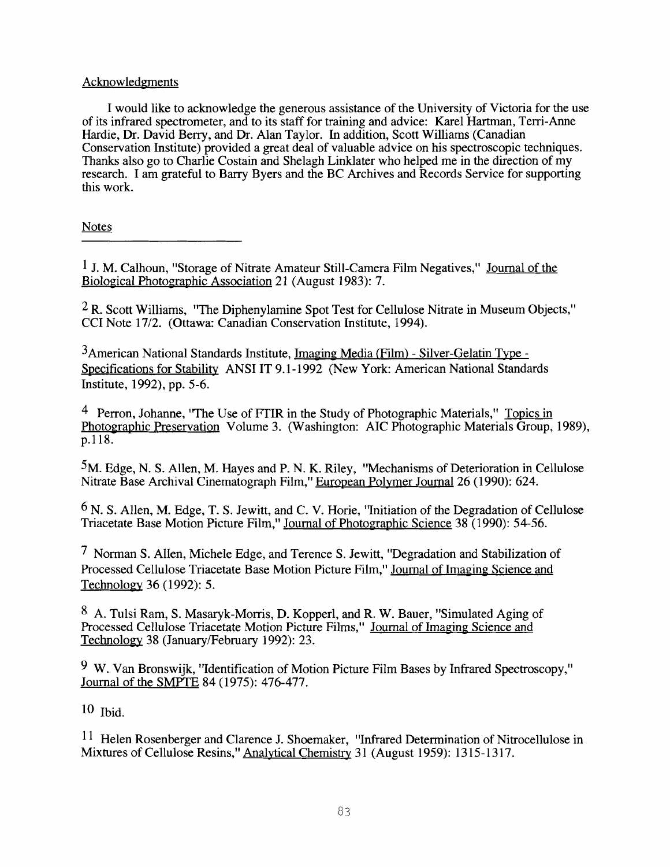## Acknowledgments

I would like to acknowledge the generous assistance of the University of Victoria for the use of its infrared spectrometer, and to its staff for training and advice: Karel Hartman, Terri-Anne Hardie, **Dr.** David Berry, and Dr. Alan Taylor. In addition, Scott Williams (Canadian Conservation Institute) provided a great deal of valuable advice on his spectroscopic techniques. Thanks also go to Charlie Costain and Shelagh Linklater who helped me in the direction of my research. I am grateful to Bany Byers and the BC Archives and Records Service for supporting this work.

Notes

 $1$  J. M. Calhoun, "Storage of Nitrate Amateur Still-Camera Film Negatives," Journal of the Biological Photographic Association 21 (August 1983): 7.

**2** R. Scott Williams, "The Diphenylamine Spot Test for Cellulose Nitrate in Museum Objects," CCI Note I7/2. (Ottawa: Canadian Conservation Institute, 1994).

3American National Standards Institute, Imaging Media (Film) - Silver-Gelatin Type - Specifications for Stability ANSI IT 9.1 - 1992 (New York: American National Standards Institute, 1992), pp. 5-6.

Perron, Johanne, 'The Use of FTIR in the Study of Photographic Materials," Topics in Photographic Preservation Volume 3. (Washington: AIC Photographic Materials Group, 1989), p.118.

**5M.** Edge, N. **S.** Allen, M. Hayes and P. N. K. Riley, "Mechanisms of Deterioration in Cellulose Nitrate Base Archival Cinematograph Film," European Polymer Journal 26 (1990): 624.

N. **S.** Allen, M. Edge, T. **S.** Jewitt, and C. **V.** Horie, "Initiation of the Degradation of Cellulose Triacetate Base Motion Picture Film," Journal of Photographic Science 38 (1990): 54-56.

Norman **S.** Allen, Michele Edge, and Terence **S.** Jewitt, "Degradation and Stabilization of Processed Cellulose Triacetate Base Motion Picture Film," Journal of Imaging Science and Technologv 36 (1992): 5.

A. Tulsi Ram, **S.** Masaryk-Morris, D. Kopperl, and R. W. Bauer, "Simulated Aging of Processed Cellulose Triacetate Motion Picture Films," Journal of Imaging Science and Technology 38 (January/February 1992): 23.

W. Van Bronswijk, "Identification of Motion Picture Film Bases by Infrared Spectroscopy," Journal of the SMPTE 84 (1975): 476-477.

 $10$  Ibid.

 $11$  Helen Rosenberger and Clarence J. Shoemaker, "Infrared Determination of Nitrocellulose in Mixtures of Cellulose Resins," Analytical Chemistry 31 (August 1959): 1315-1317.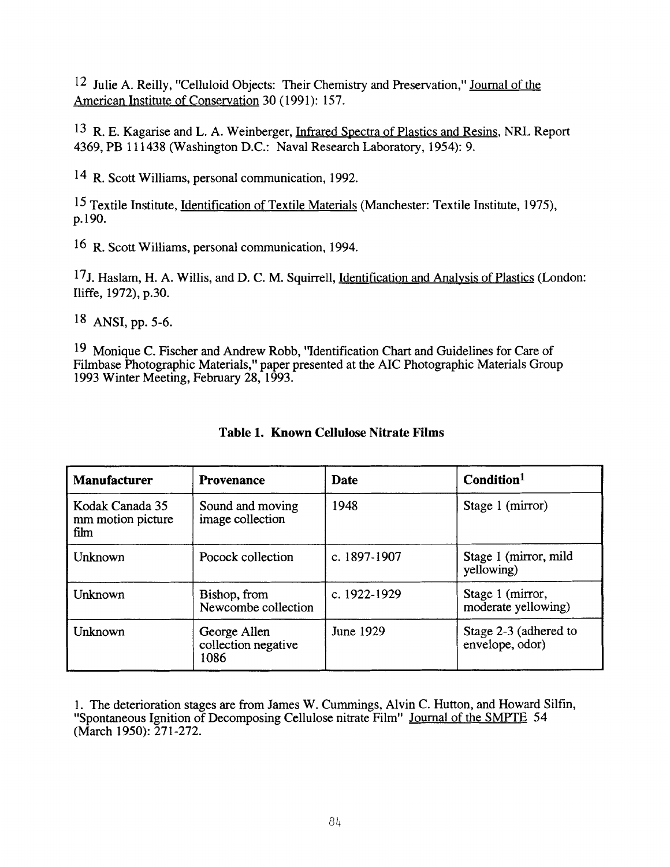12 Julie A. Reilly, "Celluloid Objects: Their Chemistry and Preservation," Journal of the American Institute of Conservation 30 (1991): 157.

l3 R. E. Kagarise and L. A. Weinberger, Infrared Spectra of Plastics and Resins, NRL Report 4369, PB 11 1438 (Washington D.C.: Naval Research Laboratory, 1954): 9.

R. Scott Williams, personal communication, 1992.

15 Textile Institute, Identification of Textile Materials (Manchester: Textile Institute, 1979, p. 190.

16 R. Scott Williams, personal communication, 1994.

17J. Haslam, **H.** A. Willis, and D. C. M. Squirrell, Identification and Analvsis of Plastics (London: Iliffe, 1972), p.30.

l8 ANSI, pp. 5-6.

l9 Monique C. Fischer and Andrew Robb, "Identification Chart and Guidelines for Care of Filmbase Photographic Materials," paper presented at the AIC Photographic Materials Group 1993 Winter Meeting, February 28, 1993.

| <b>Manufacturer</b>                          | <b>Provenance</b>                           | Date         | Condition <sup>1</sup>                   |
|----------------------------------------------|---------------------------------------------|--------------|------------------------------------------|
| Kodak Canada 35<br>mm motion picture<br>film | Sound and moving<br>image collection        | 1948         | Stage 1 (mirror)                         |
| Unknown                                      | Pocock collection                           | c. 1897-1907 | Stage 1 (mirror, mild<br>yellowing)      |
| Unknown                                      | Bishop, from<br>Newcombe collection         | c. 1922-1929 | Stage 1 (mirror,<br>moderate yellowing)  |
| Unknown                                      | George Allen<br>collection negative<br>1086 | June 1929    | Stage 2-3 (adhered to<br>envelope, odor) |

## **Table 1. Known Cellulose Nitrate Films**

1. The deterioration stages are from James W. Cummings, Alvin C. Hutton, and Howard Silfin, "Spontaneous Ignition of Decomposing Cellulose nitrate Film" Journal of the **SMPTE** 54 (March 1950): 27 1-272.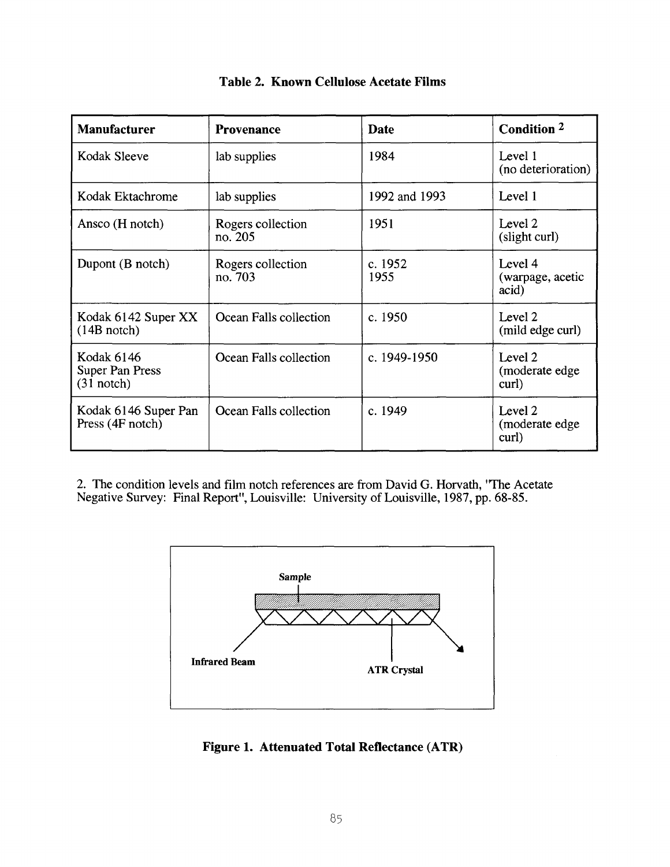| <b>Manufacturer</b>                                  | <b>Provenance</b>            | <b>Date</b>     | Condition 2                          |
|------------------------------------------------------|------------------------------|-----------------|--------------------------------------|
| Kodak Sleeve                                         | lab supplies                 | 1984            | Level 1<br>(no deterioration)        |
| Kodak Ektachrome                                     | lab supplies                 | 1992 and 1993   | Level 1                              |
| Ansco (H notch)                                      | Rogers collection<br>no. 205 | 1951            | Level 2<br>(slight curl)             |
| Dupont (B notch)                                     | Rogers collection<br>no. 703 | c. 1952<br>1955 | Level 4<br>(warpage, acetic<br>acid) |
| Kodak 6142 Super XX<br>$(14B \text{ note})$          | Ocean Falls collection       | c. 1950         | Level 2<br>(mild edge curl)          |
| Kodak 6146<br><b>Super Pan Press</b><br>$(31$ notch) | Ocean Falls collection       | c. 1949-1950    | Level 2<br>(moderate edge)<br>curl)  |
| Kodak 6146 Super Pan<br>Press (4F notch)             | Ocean Falls collection       | c. 1949         | Level 2<br>(moderate edge)<br>curl)  |

## **Table 2. Known Cellulose Acetate Films**

2. The condition levels and film notch references are from David G. Horvath, 'The Acetate Negative Survey: Final Report", Louisville: University of Louisville, 1987, pp. 68-85.



**Figure 1. Attenuated Total Reflectance (ATR)**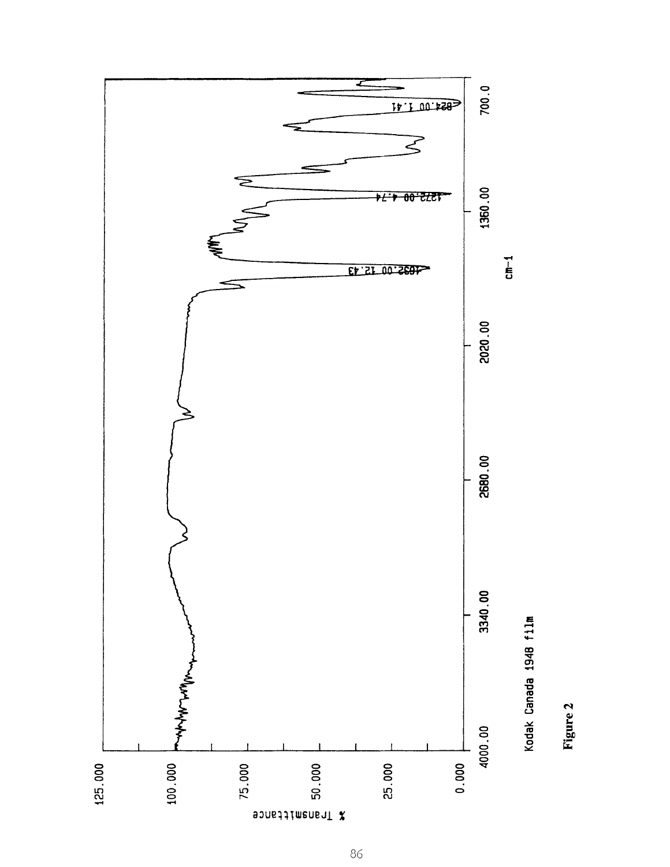

Figure 2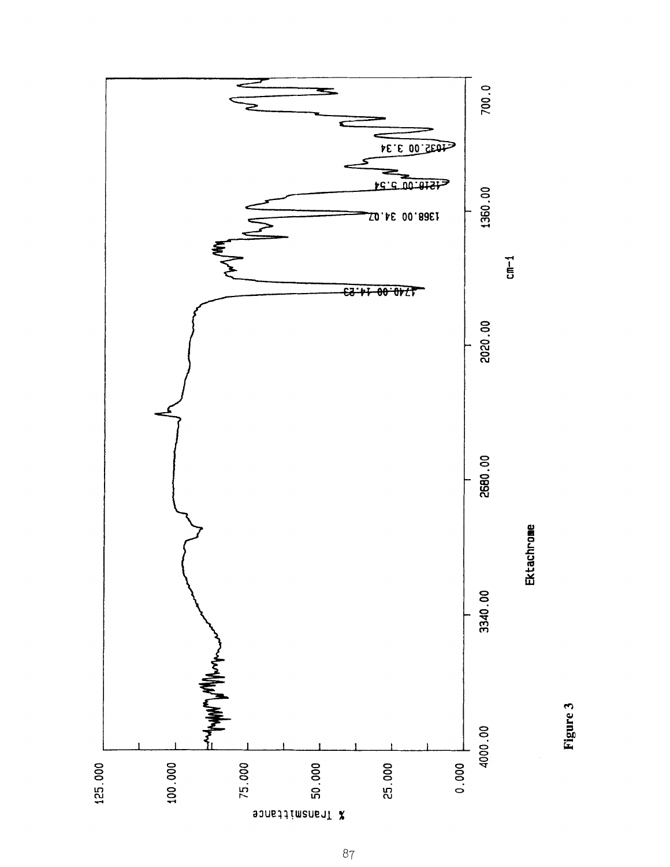

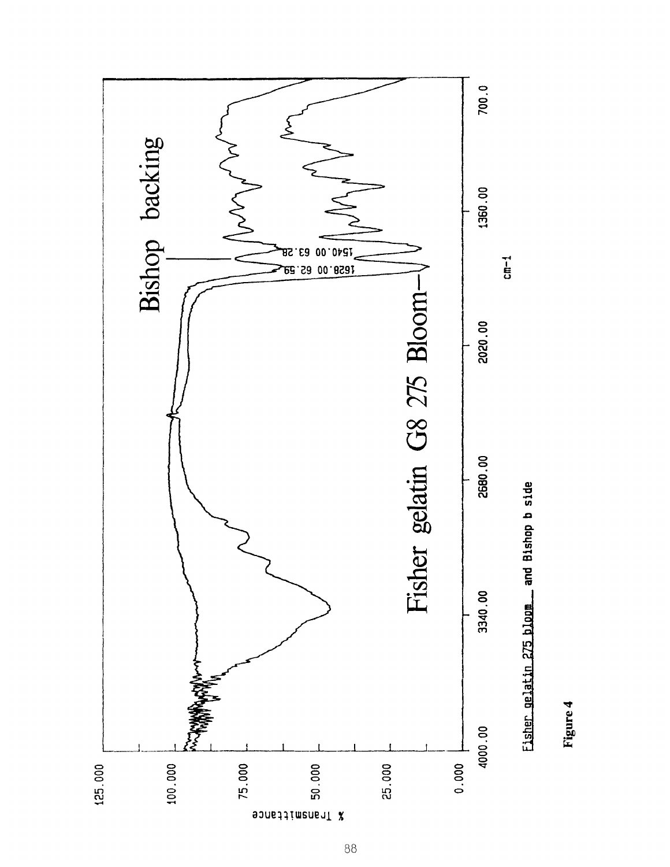

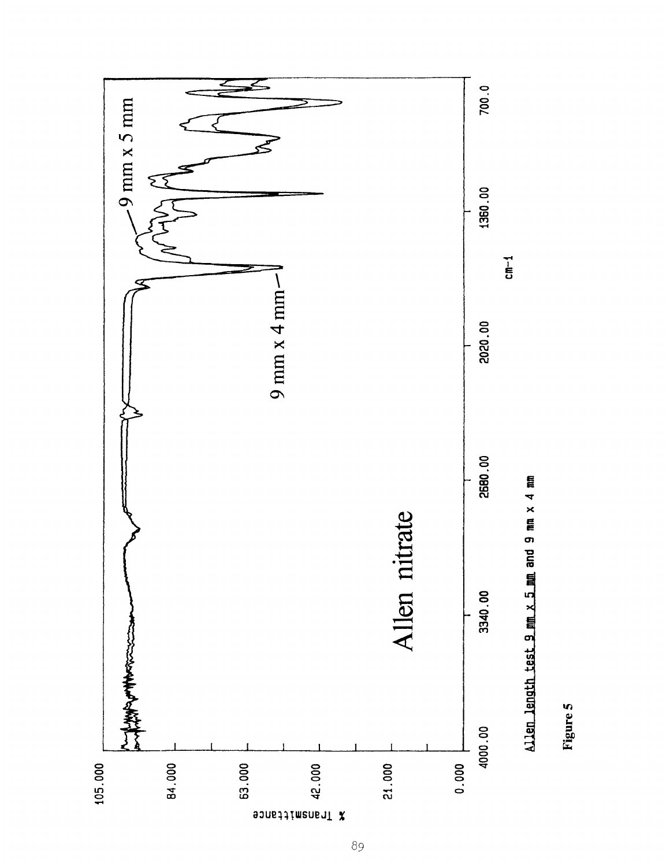

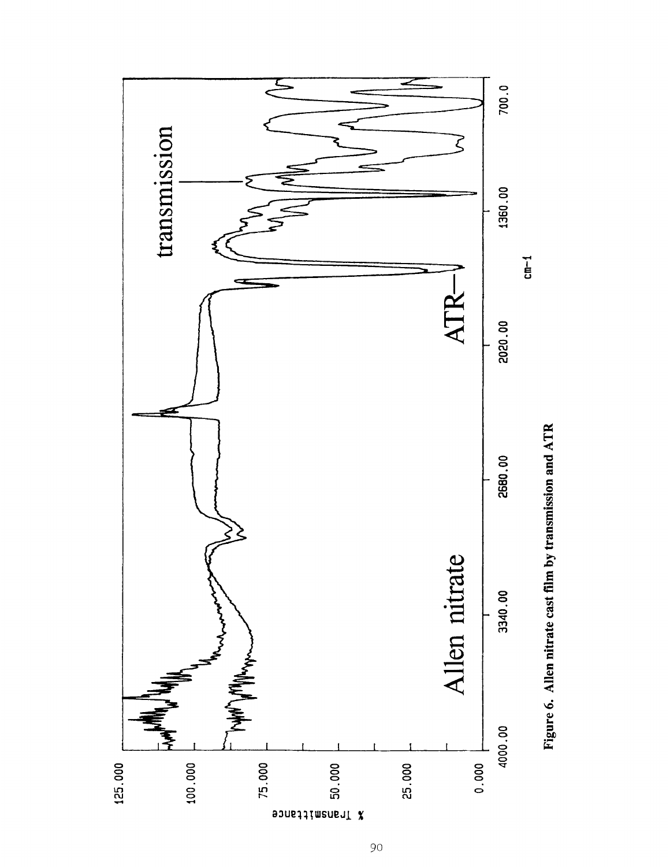

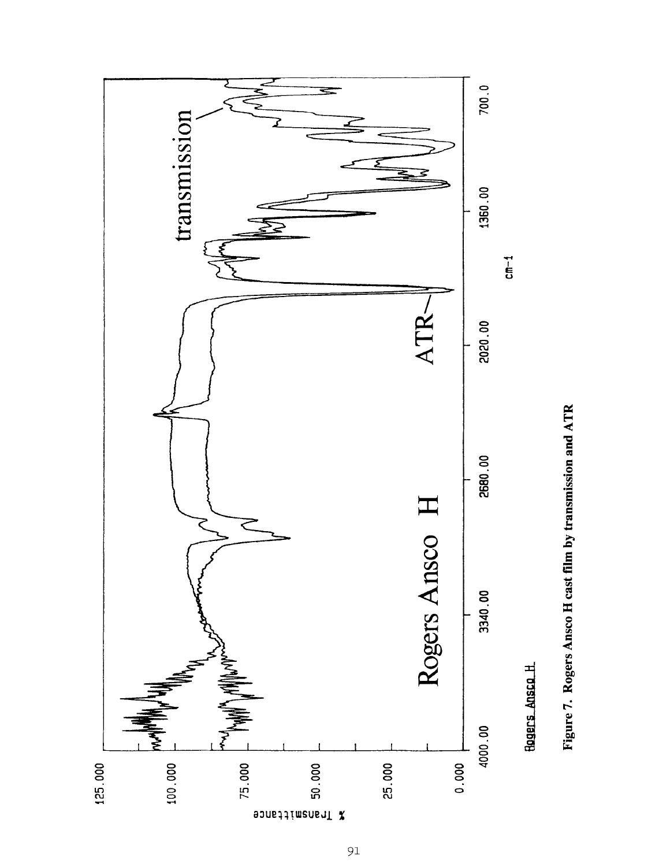

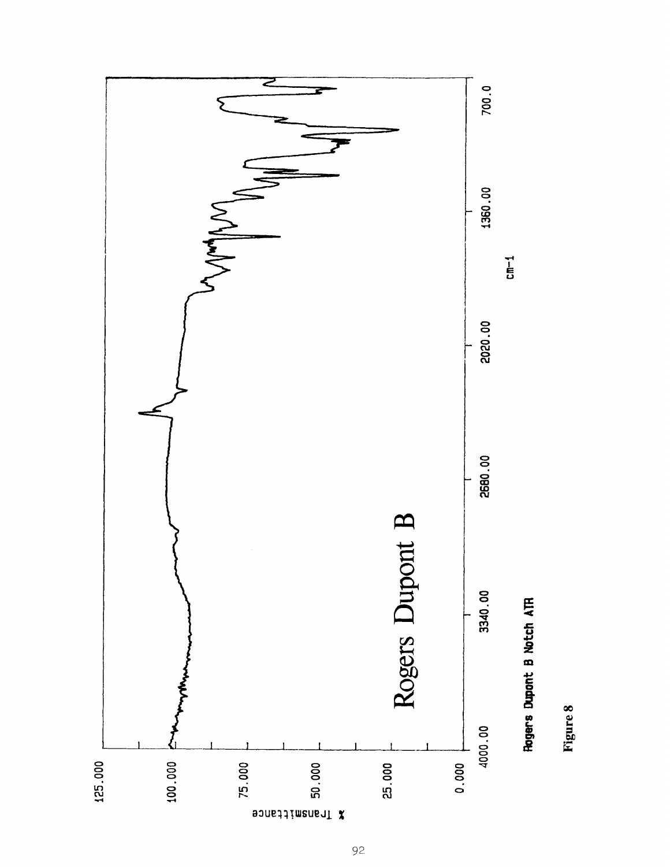

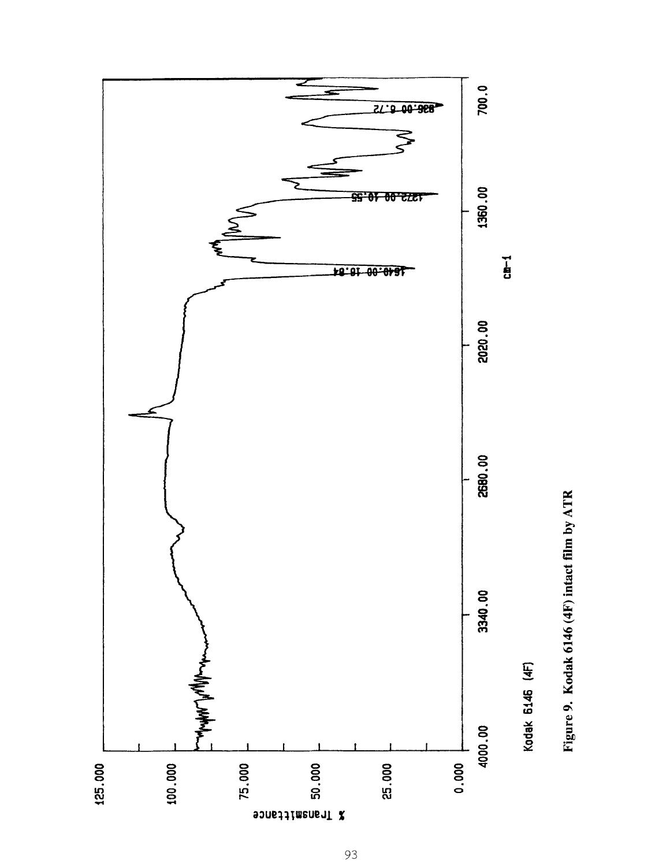

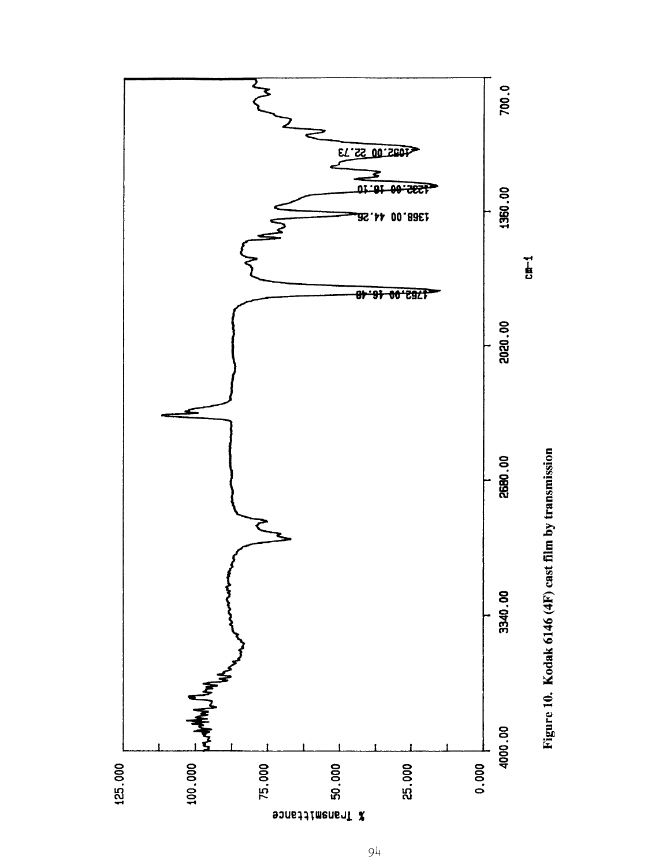

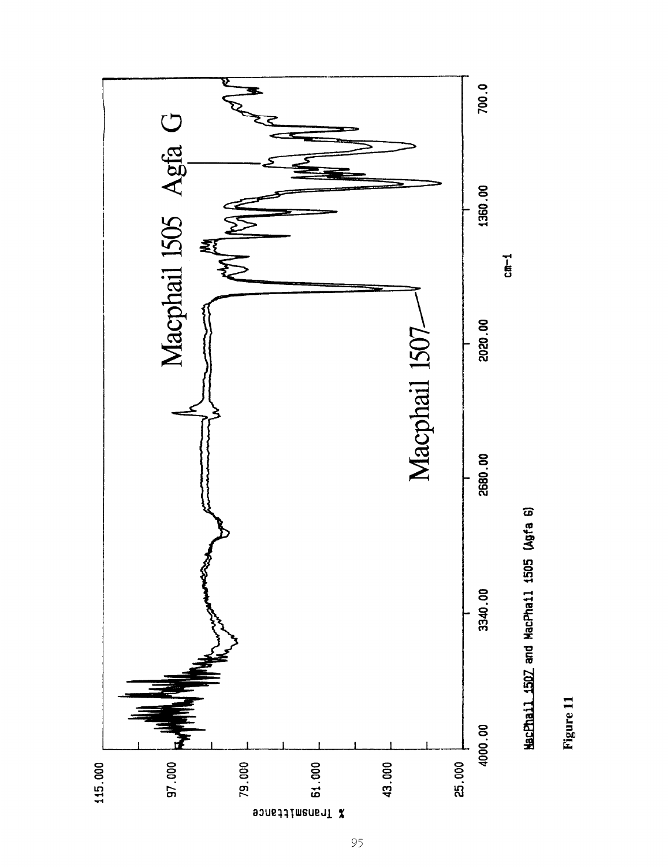

Figure 11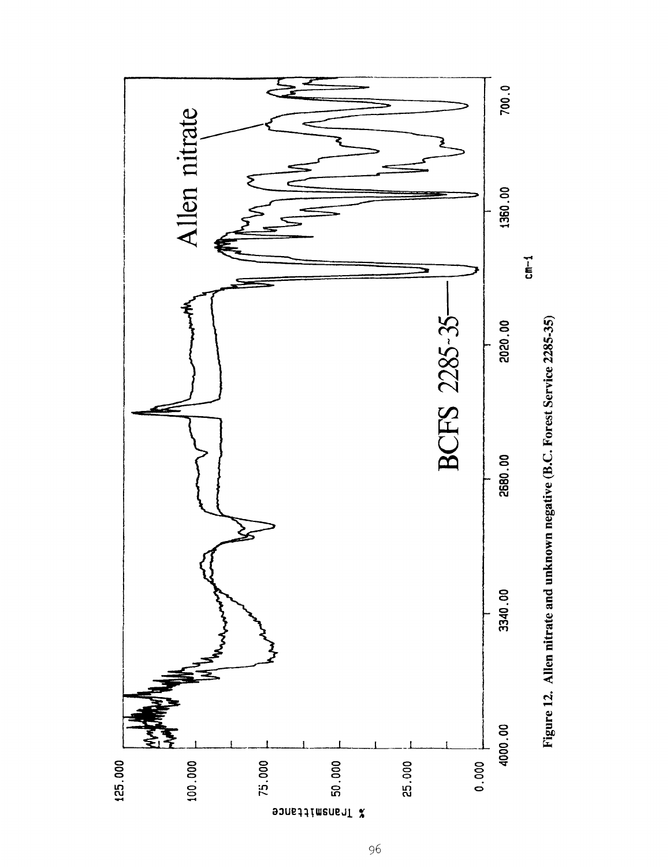